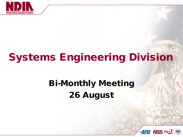

# Systems Engineering Division

## Bi-Monthly Meeting 26 August

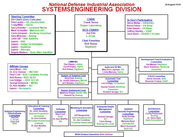#### **National Defense Industrial Association SYSTEMSENGINEERING DIVISION**

**25 August 15 R1** 

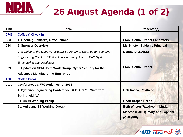

## 26 August Agenda (1 of 2)

| Time | <b>Topic</b>                                                        | Presenter(s)                                                             |
|------|---------------------------------------------------------------------|--------------------------------------------------------------------------|
| 0745 | <b>Coffee &amp; Check-in</b>                                        |                                                                          |
| 0830 | 1. Opening Remarks, Introductions                                   | <b>Frank Serna, Draper Laboratory</b>                                    |
| 0844 | 2. Sponsor Overview                                                 | Ms. Kristen Baldwin, Principal                                           |
|      | The Office of the Deputy Assistant Secretary of Defense for Systems | <b>Deputy DASD(SE)</b>                                                   |
|      | Engineering (ODASD(SE)) will provide an update on DoD Systems       |                                                                          |
|      | Engineering plans/activities                                        |                                                                          |
| 0930 | 3. Update on NDIA Joint Work Group: Cyber Security for the          | <b>Frank Serna, Draper</b>                                               |
|      | <b>Advanced Manufacturing Enterprise</b>                            |                                                                          |
| 1000 | <b>Coffee Break</b>                                                 |                                                                          |
| 1030 | Conferences & WG Activities for 2014 -                              |                                                                          |
|      | 4. Systems Engineering Conference 26-29 Oct '15 Waterford           | <b>Bob Rassa, Raytheon</b>                                               |
|      | Springfield, VA                                                     |                                                                          |
|      | 5a. CMMI Working Group                                              | <b>Geoff Draper, Harris</b>                                              |
|      | 5b. Agile and SE Working Group                                      | Beth Wilson (Raytheon), Linda<br><b>Maness (Harris), Mary Ann Lapham</b> |
|      |                                                                     | (CMU/SEI)                                                                |

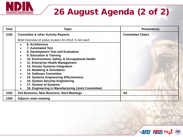

### 26 August Agenda (2 of 2)

| <b>Time</b> | <b>Topic</b>                                                                                                                                                                                                                                                                                                                                                                                                                                                                                                                                                                                                                    | Presenter(s)            |
|-------------|---------------------------------------------------------------------------------------------------------------------------------------------------------------------------------------------------------------------------------------------------------------------------------------------------------------------------------------------------------------------------------------------------------------------------------------------------------------------------------------------------------------------------------------------------------------------------------------------------------------------------------|-------------------------|
| 1100        | <b>Committee &amp; other Activity Reports:</b>                                                                                                                                                                                                                                                                                                                                                                                                                                                                                                                                                                                  | <b>Committee Chairs</b> |
|             | Brief Overview of status & plans for 2014, 5 min each                                                                                                                                                                                                                                                                                                                                                                                                                                                                                                                                                                           |                         |
|             | 6. Architecture<br>$\bullet$<br><b>7. Automated Test</b><br>$\bullet$<br>8. Development Test and Evaluation<br>$\bullet$<br>9. Education & Training<br>$\bullet$<br>10. Environment, Safety, & Occupational Health<br>$\bullet$<br>11. Enterprise Health Management<br>$\bullet$<br>12. Human Systems Integration<br>$\bullet$<br>13. Modeling & Simulation<br>$\bullet$<br><b>14. Software Committee</b><br>$\bullet$<br><b>15. Systems Engineering Effectiveness</b><br>$\bullet$<br>16. System Security Engineering<br>$\bullet$<br>17. System of Systems<br>$\bullet$<br>18. Engineering in Manufacturing (Joint Committee) |                         |
| 1150        | <b>Old Business, New Business, Next Meetings</b>                                                                                                                                                                                                                                                                                                                                                                                                                                                                                                                                                                                | All                     |
| 1200        | <b>Adjourn main meeting</b>                                                                                                                                                                                                                                                                                                                                                                                                                                                                                                                                                                                                     |                         |

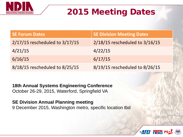

#### 2015 Meeting Dates

| <b>SE Forum Dates</b>          | <b>SE Division Meeting Dates</b> |
|--------------------------------|----------------------------------|
| 2/17/15 rescheduled to 3/17/15 | 2/18/15 rescheduled to 3/16/15   |
| 4/21/15                        | 4/22/15                          |
| 6/16/15                        | 6/17/15                          |
| 8/18/15 rescheduled to 8/25/15 | 8/19/15 rescheduled to 8/26/15   |

**18th Annual Systems Engineering Conference**  October 26-29, 2015, Waterford, Springfield VA

**SE Division Annual Planning meeting** 9 December 2015, Washington metro, specific location tbd